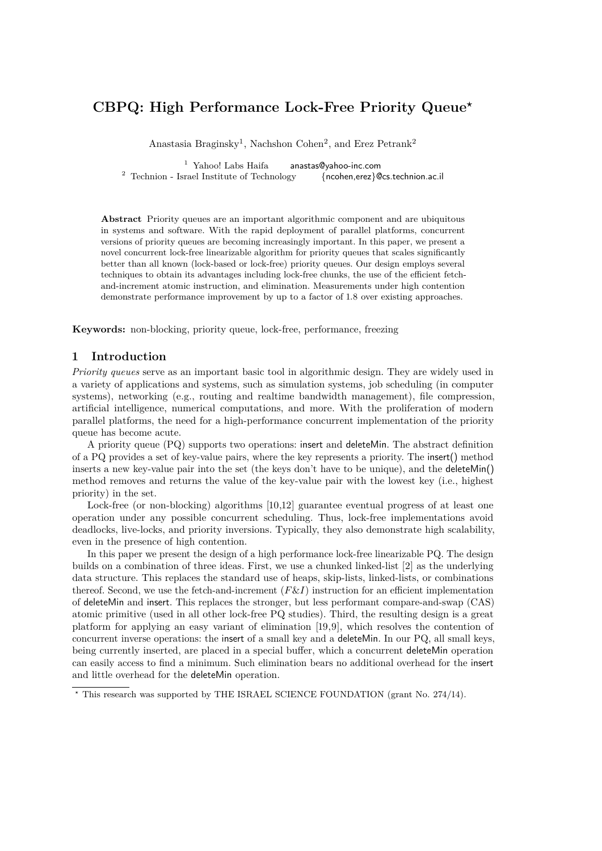# **CBPQ: High Performance Lock-Free Priority Queue***<sup>⋆</sup>*

Anastasia Braginsky<sup>1</sup>, Nachshon Cohen<sup>2</sup>, and Erez Petrank<sup>2</sup>

<sup>1</sup> Yahoo! Labs Haifa anastas@yahoo-inc.com <sup>2</sup> Technion - Israel Institute of Technology  $\{n\}$  ncohen, erez $\}$ @cs.technion.ac.il

**Abstract** Priority queues are an important algorithmic component and are ubiquitous in systems and software. With the rapid deployment of parallel platforms, concurrent versions of priority queues are becoming increasingly important. In this paper, we present a novel concurrent lock-free linearizable algorithm for priority queues that scales significantly better than all known (lock-based or lock-free) priority queues. Our design employs several techniques to obtain its advantages including lock-free chunks, the use of the efficient fetchand-increment atomic instruction, and elimination. Measurements under high contention demonstrate performance improvement by up to a factor of 1.8 over existing approaches.

**Keywords:** non-blocking, priority queue, lock-free, performance, freezing

### **1 Introduction**

*Priority queues* serve as an important basic tool in algorithmic design. They are widely used in a variety of applications and systems, such as simulation systems, job scheduling (in computer systems), networking (e.g., routing and realtime bandwidth management), file compression, artificial intelligence, numerical computations, and more. With the proliferation of modern parallel platforms, the need for a high-performance concurrent implementation of the priority queue has become acute.

A priority queue (PQ) supports two operations: insert and deleteMin. The abstract definition of a PQ provides a set of key-value pairs, where the key represents a priority. The insert() method inserts a new key-value pair into the set (the keys don't have to be unique), and the deleteMin() method removes and returns the value of the key-value pair with the lowest key (i.e., highest priority) in the set.

Lock-free (or non-blocking) algorithms [\[10,](#page-13-0)[12\]](#page-13-1) guarantee eventual progress of at least one operation under any possible concurrent scheduling. Thus, lock-free implementations avoid deadlocks, live-locks, and priority inversions. Typically, they also demonstrate high scalability, even in the presence of high contention.

In this paper we present the design of a high performance lock-free linearizable PQ. The design builds on a combination of three ideas. First, we use a chunked linked-list [\[2\]](#page-13-2) as the underlying data structure. This replaces the standard use of heaps, skip-lists, linked-lists, or combinations thereof. Second, we use the fetch-and-increment  $(F&I)$  instruction for an efficient implementation of deleteMin and insert. This replaces the stronger, but less performant compare-and-swap (CAS) atomic primitive (used in all other lock-free PQ studies). Third, the resulting design is a great platform for applying an easy variant of elimination [\[19,](#page-13-3)[9\]](#page-13-4), which resolves the contention of concurrent inverse operations: the insert of a small key and a deleteMin. In our PQ, all small keys, being currently inserted, are placed in a special buffer, which a concurrent deleteMin operation can easily access to find a minimum. Such elimination bears no additional overhead for the insert and little overhead for the deleteMin operation.

*<sup>⋆</sup>* This research was supported by THE ISRAEL SCIENCE FOUNDATION (grant No. 274/14).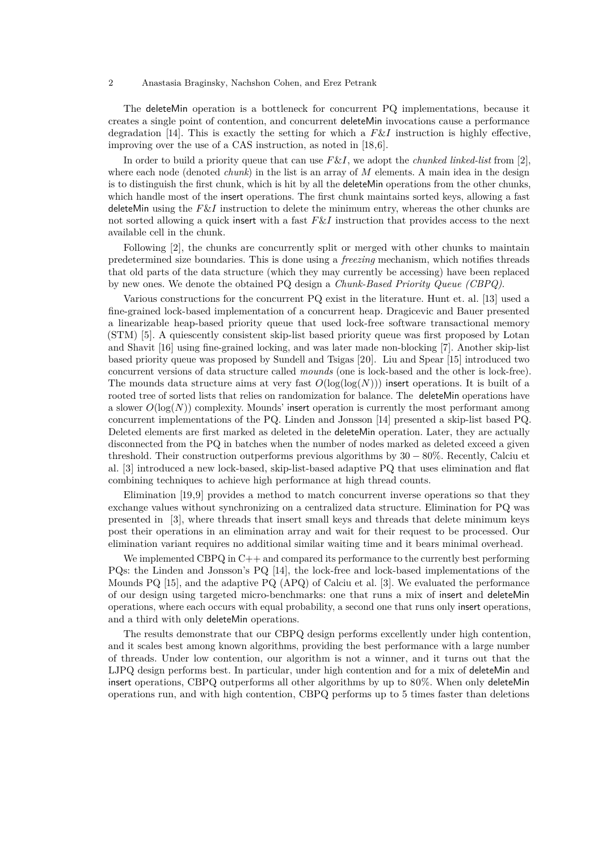The deleteMin operation is a bottleneck for concurrent PQ implementations, because it creates a single point of contention, and concurrent deleteMin invocations cause a performance degradation [\[14\]](#page-13-5). This is exactly the setting for which a *F*&*I* instruction is highly effective, improving over the use of a CAS instruction, as noted in [\[18](#page-13-6)[,6\]](#page-13-7).

In order to build a priority queue that can use  $F\&I$ , we adopt the *chunked linked-list* from [\[2\]](#page-13-2), where each node (denoted *chunk*) in the list is an array of M elements. A main idea in the design is to distinguish the first chunk, which is hit by all the deleteMin operations from the other chunks, which handle most of the insert operations. The first chunk maintains sorted keys, allowing a fast deleteMin using the *F*&*I* instruction to delete the minimum entry, whereas the other chunks are not sorted allowing a quick insert with a fast *F*&*I* instruction that provides access to the next available cell in the chunk.

Following [\[2\]](#page-13-2), the chunks are concurrently split or merged with other chunks to maintain predetermined size boundaries. This is done using a *freezing* mechanism, which notifies threads that old parts of the data structure (which they may currently be accessing) have been replaced by new ones. We denote the obtained PQ design a *Chunk-Based Priority Queue (CBPQ)*.

Various constructions for the concurrent PQ exist in the literature. Hunt et. al. [\[13\]](#page-13-8) used a fine-grained lock-based implementation of a concurrent heap. Dragicevic and Bauer presented a linearizable heap-based priority queue that used lock-free software transactional memory (STM) [\[5\]](#page-13-9). A quiescently consistent skip-list based priority queue was first proposed by Lotan and Shavit [\[16\]](#page-13-10) using fine-grained locking, and was later made non-blocking [\[7\]](#page-13-11). Another skip-list based priority queue was proposed by Sundell and Tsigas [\[20\]](#page-13-12). Liu and Spear [\[15\]](#page-13-13) introduced two concurrent versions of data structure called *mounds* (one is lock-based and the other is lock-free). The mounds data structure aims at very fast  $O(\log(\log(N)))$  insert operations. It is built of a rooted tree of sorted lists that relies on randomization for balance. The deleteMin operations have a slower  $O(\log(N))$  complexity. Mounds' insert operation is currently the most performant among concurrent implementations of the PQ. Linden and Jonsson [\[14\]](#page-13-5) presented a skip-list based PQ. Deleted elements are first marked as deleted in the deleteMin operation. Later, they are actually disconnected from the PQ in batches when the number of nodes marked as deleted exceed a given threshold. Their construction outperforms previous algorithms by 30 − 80%. Recently, Calciu et al. [\[3\]](#page-13-14) introduced a new lock-based, skip-list-based adaptive PQ that uses elimination and flat combining techniques to achieve high performance at high thread counts.

Elimination [\[19](#page-13-3)[,9\]](#page-13-4) provides a method to match concurrent inverse operations so that they exchange values without synchronizing on a centralized data structure. Elimination for PQ was presented in [\[3\]](#page-13-14), where threads that insert small keys and threads that delete minimum keys post their operations in an elimination array and wait for their request to be processed. Our elimination variant requires no additional similar waiting time and it bears minimal overhead.

We implemented CBPQ in  $C++$  and compared its performance to the currently best performing PQs: the Linden and Jonsson's PQ [\[14\]](#page-13-5), the lock-free and lock-based implementations of the Mounds PQ [\[15\]](#page-13-13), and the adaptive PQ (APQ) of Calciu et al. [\[3\]](#page-13-14). We evaluated the performance of our design using targeted micro-benchmarks: one that runs a mix of insert and deleteMin operations, where each occurs with equal probability, a second one that runs only insert operations, and a third with only deleteMin operations.

The results demonstrate that our CBPQ design performs excellently under high contention, and it scales best among known algorithms, providing the best performance with a large number of threads. Under low contention, our algorithm is not a winner, and it turns out that the LJPQ design performs best. In particular, under high contention and for a mix of deleteMin and insert operations, CBPQ outperforms all other algorithms by up to 80%. When only deleteMin operations run, and with high contention, CBPQ performs up to 5 times faster than deletions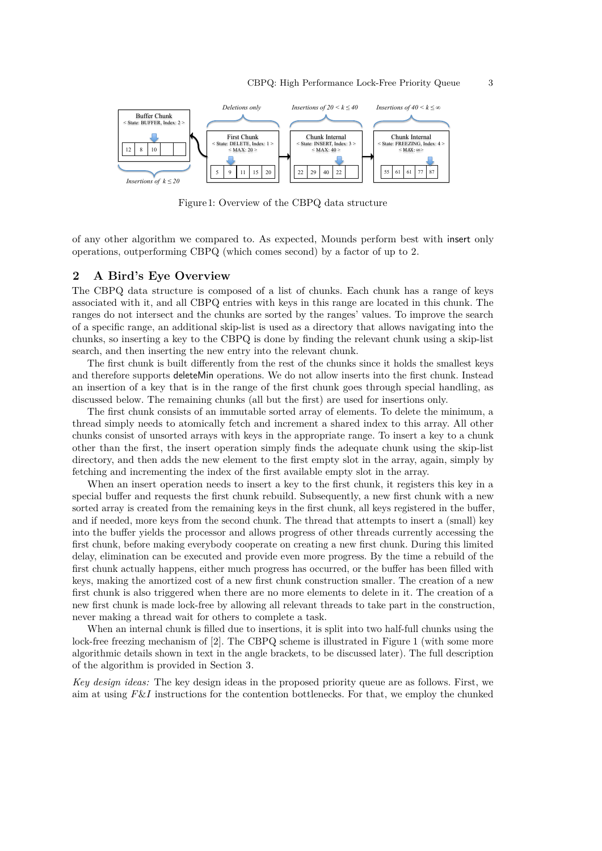<span id="page-2-0"></span>

Figure 1: Overview of the CBPQ data structure

of any other algorithm we compared to. As expected, Mounds perform best with insert only operations, outperforming CBPQ (which comes second) by a factor of up to 2.

### **2 A Bird's Eye Overview**

The CBPQ data structure is composed of a list of chunks. Each chunk has a range of keys associated with it, and all CBPQ entries with keys in this range are located in this chunk. The ranges do not intersect and the chunks are sorted by the ranges' values. To improve the search of a specific range, an additional skip-list is used as a directory that allows navigating into the chunks, so inserting a key to the CBPQ is done by finding the relevant chunk using a skip-list search, and then inserting the new entry into the relevant chunk.

The first chunk is built differently from the rest of the chunks since it holds the smallest keys and therefore supports deleteMin operations. We do not allow inserts into the first chunk. Instead an insertion of a key that is in the range of the first chunk goes through special handling, as discussed below. The remaining chunks (all but the first) are used for insertions only.

The first chunk consists of an immutable sorted array of elements. To delete the minimum, a thread simply needs to atomically fetch and increment a shared index to this array. All other chunks consist of unsorted arrays with keys in the appropriate range. To insert a key to a chunk other than the first, the insert operation simply finds the adequate chunk using the skip-list directory, and then adds the new element to the first empty slot in the array, again, simply by fetching and incrementing the index of the first available empty slot in the array.

When an insert operation needs to insert a key to the first chunk, it registers this key in a special buffer and requests the first chunk rebuild. Subsequently, a new first chunk with a new sorted array is created from the remaining keys in the first chunk, all keys registered in the buffer, and if needed, more keys from the second chunk. The thread that attempts to insert a (small) key into the buffer yields the processor and allows progress of other threads currently accessing the first chunk, before making everybody cooperate on creating a new first chunk. During this limited delay, elimination can be executed and provide even more progress. By the time a rebuild of the first chunk actually happens, either much progress has occurred, or the buffer has been filled with keys, making the amortized cost of a new first chunk construction smaller. The creation of a new first chunk is also triggered when there are no more elements to delete in it. The creation of a new first chunk is made lock-free by allowing all relevant threads to take part in the construction, never making a thread wait for others to complete a task.

When an internal chunk is filled due to insertions, it is split into two half-full chunks using the lock-free freezing mechanism of [\[2\]](#page-13-2). The CBPQ scheme is illustrated in Figure [1](#page-2-0) (with some more algorithmic details shown in text in the angle brackets, to be discussed later). The full description of the algorithm is provided in Section [3.](#page-3-0)

*Key design ideas:* The key design ideas in the proposed priority queue are as follows. First, we aim at using *F*&*I* instructions for the contention bottlenecks. For that, we employ the chunked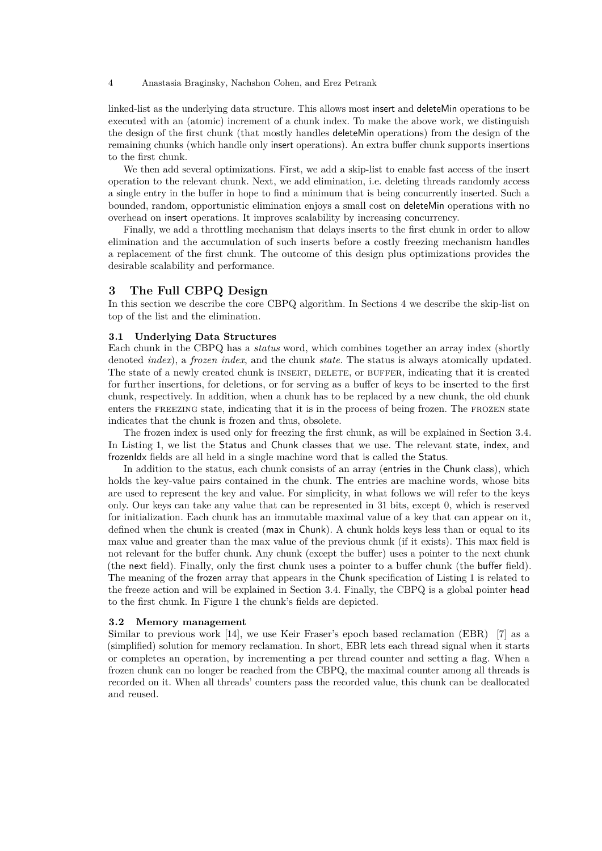linked-list as the underlying data structure. This allows most insert and deleteMin operations to be executed with an (atomic) increment of a chunk index. To make the above work, we distinguish the design of the first chunk (that mostly handles deleteMin operations) from the design of the remaining chunks (which handle only insert operations). An extra buffer chunk supports insertions to the first chunk.

We then add several optimizations. First, we add a skip-list to enable fast access of the insert operation to the relevant chunk. Next, we add elimination, i.e. deleting threads randomly access a single entry in the buffer in hope to find a minimum that is being concurrently inserted. Such a bounded, random, opportunistic elimination enjoys a small cost on deleteMin operations with no overhead on insert operations. It improves scalability by increasing concurrency.

Finally, we add a throttling mechanism that delays inserts to the first chunk in order to allow elimination and the accumulation of such inserts before a costly freezing mechanism handles a replacement of the first chunk. The outcome of this design plus optimizations provides the desirable scalability and performance.

### <span id="page-3-0"></span>**3 The Full CBPQ Design**

In this section we describe the core CBPQ algorithm. In Sections [4](#page-8-0) we describe the skip-list on top of the list and the elimination.

### **3.1 Underlying Data Structures**

Each chunk in the CBPQ has a *status* word, which combines together an array index (shortly denoted *index*), a *frozen index*, and the chunk *state*. The status is always atomically updated. The state of a newly created chunk is INSERT, DELETE, or BUFFER, indicating that it is created for further insertions, for deletions, or for serving as a buffer of keys to be inserted to the first chunk, respectively. In addition, when a chunk has to be replaced by a new chunk, the old chunk enters the FREEZING state, indicating that it is in the process of being frozen. The FROZEN state indicates that the chunk is frozen and thus, obsolete.

The frozen index is used only for freezing the first chunk, as will be explained in Section [3.4.](#page-6-0) In Listing [1,](#page-5-0) we list the Status and Chunk classes that we use. The relevant state, index, and frozenIdx fields are all held in a single machine word that is called the Status.

In addition to the status, each chunk consists of an array (entries in the Chunk class), which holds the key-value pairs contained in the chunk. The entries are machine words, whose bits are used to represent the key and value. For simplicity, in what follows we will refer to the keys only. Our keys can take any value that can be represented in 31 bits, except 0, which is reserved for initialization. Each chunk has an immutable maximal value of a key that can appear on it, defined when the chunk is created (max in Chunk). A chunk holds keys less than or equal to its max value and greater than the max value of the previous chunk (if it exists). This max field is not relevant for the buffer chunk. Any chunk (except the buffer) uses a pointer to the next chunk (the next field). Finally, only the first chunk uses a pointer to a buffer chunk (the buffer field). The meaning of the frozen array that appears in the Chunk specification of Listing [1](#page-5-0) is related to the freeze action and will be explained in Section [3.4.](#page-6-0) Finally, the CBPQ is a global pointer head to the first chunk. In Figure [1](#page-2-0) the chunk's fields are depicted.

### <span id="page-3-1"></span>**3.2 Memory management**

Similar to previous work [\[14\]](#page-13-5), we use Keir Fraser's epoch based reclamation (EBR) [\[7\]](#page-13-11) as a (simplified) solution for memory reclamation. In short, EBR lets each thread signal when it starts or completes an operation, by incrementing a per thread counter and setting a flag. When a frozen chunk can no longer be reached from the CBPQ, the maximal counter among all threads is recorded on it. When all threads' counters pass the recorded value, this chunk can be deallocated and reused.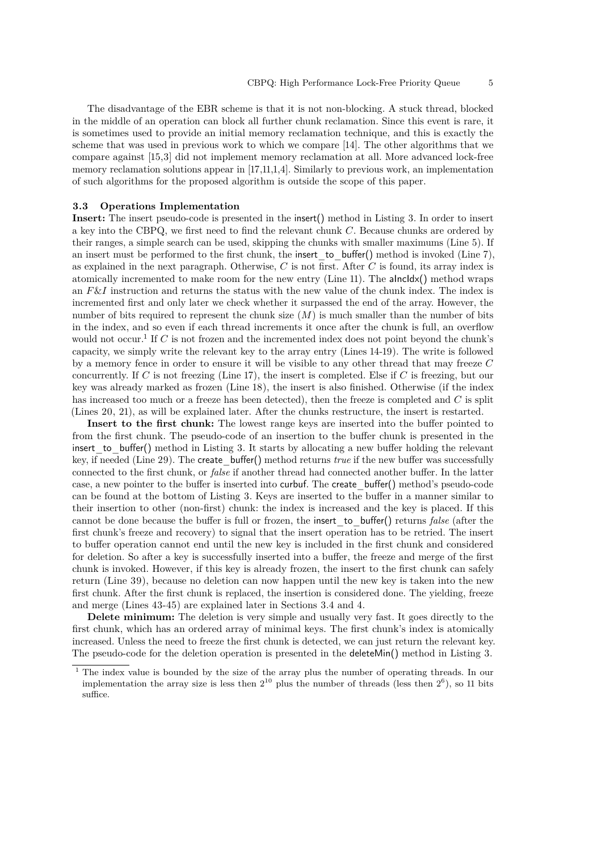The disadvantage of the EBR scheme is that it is not non-blocking. A stuck thread, blocked in the middle of an operation can block all further chunk reclamation. Since this event is rare, it is sometimes used to provide an initial memory reclamation technique, and this is exactly the scheme that was used in previous work to which we compare [\[14\]](#page-13-5). The other algorithms that we compare against [\[15,](#page-13-13)[3\]](#page-13-14) did not implement memory reclamation at all. More advanced lock-free memory reclamation solutions appear in [\[17,](#page-13-15)[11](#page-13-16)[,1,](#page-13-17)[4\]](#page-13-18). Similarly to previous work, an implementation of such algorithms for the proposed algorithm is outside the scope of this paper.

#### **3.3 Operations Implementation**

**Insert:** The insert pseudo-code is presented in the insert() method in Listing [3.](#page-5-1) In order to insert a key into the CBPQ, we first need to find the relevant chunk *C*. Because chunks are ordered by their ranges, a simple search can be used, skipping the chunks with smaller maximums (Line [5\)](#page-5-2). If an insert must be performed to the first chunk, the insert to  $buffer()$  method is invoked (Line [7\)](#page-5-3), as explained in the next paragraph. Otherwise, *C* is not first. After *C* is found, its array index is atomically incremented to make room for the new entry (Line [11\)](#page-5-4). The aIncIdx() method wraps an *F*&*I* instruction and returns the status with the new value of the chunk index. The index is incremented first and only later we check whether it surpassed the end of the array. However, the number of bits required to represent the chunk size (*M*) is much smaller than the number of bits in the index, and so even if each thread increments it once after the chunk is full, an overflow would not occur.<sup>[1](#page-4-0)</sup> If *C* is not frozen and the incremented index does not point beyond the chunk's capacity, we simply write the relevant key to the array entry (Lines [14](#page-5-5)[-19\)](#page-5-6). The write is followed by a memory fence in order to ensure it will be visible to any other thread that may freeze *C* concurrently. If *C* is not freezing (Line [17\)](#page-5-7), the insert is completed. Else if *C* is freezing, but our key was already marked as frozen (Line [18\)](#page-5-8), the insert is also finished. Otherwise (if the index has increased too much or a freeze has been detected), then the freeze is completed and *C* is split (Lines [20,](#page-5-9) [21\)](#page-5-10), as will be explained later. After the chunks restructure, the insert is restarted.

**Insert to the first chunk:** The lowest range keys are inserted into the buffer pointed to from the first chunk. The pseudo-code of an insertion to the buffer chunk is presented in the insert to buffer() method in Listing [3.](#page-5-1) It starts by allocating a new buffer holding the relevant key, if needed (Line [29\)](#page-5-11). The create\_buffer() method returns *true* if the new buffer was successfully connected to the first chunk, or *false* if another thread had connected another buffer. In the latter case, a new pointer to the buffer is inserted into curbuf. The create\_buffer() method's pseudo-code can be found at the bottom of Listing [3.](#page-5-1) Keys are inserted to the buffer in a manner similar to their insertion to other (non-first) chunk: the index is increased and the key is placed. If this cannot be done because the buffer is full or frozen, the insert\_to\_buffer() returns *false* (after the first chunk's freeze and recovery) to signal that the insert operation has to be retried. The insert to buffer operation cannot end until the new key is included in the first chunk and considered for deletion. So after a key is successfully inserted into a buffer, the freeze and merge of the first chunk is invoked. However, if this key is already frozen, the insert to the first chunk can safely return (Line [39\)](#page-5-12), because no deletion can now happen until the new key is taken into the new first chunk. After the first chunk is replaced, the insertion is considered done. The yielding, freeze and merge (Lines [43](#page-5-13)[-45\)](#page-5-14) are explained later in Sections [3.4](#page-6-0) and [4.](#page-8-0)

**Delete minimum:** The deletion is very simple and usually very fast. It goes directly to the first chunk, which has an ordered array of minimal keys. The first chunk's index is atomically increased. Unless the need to freeze the first chunk is detected, we can just return the relevant key. The pseudo-code for the deletion operation is presented in the deleteMin() method in Listing [3.](#page-5-1)

<span id="page-4-0"></span><sup>&</sup>lt;sup>1</sup> The index value is bounded by the size of the array plus the number of operating threads. In our implementation the array size is less then  $2^{10}$  plus the number of threads (less then  $2^6$ ), so 11 bits suffice.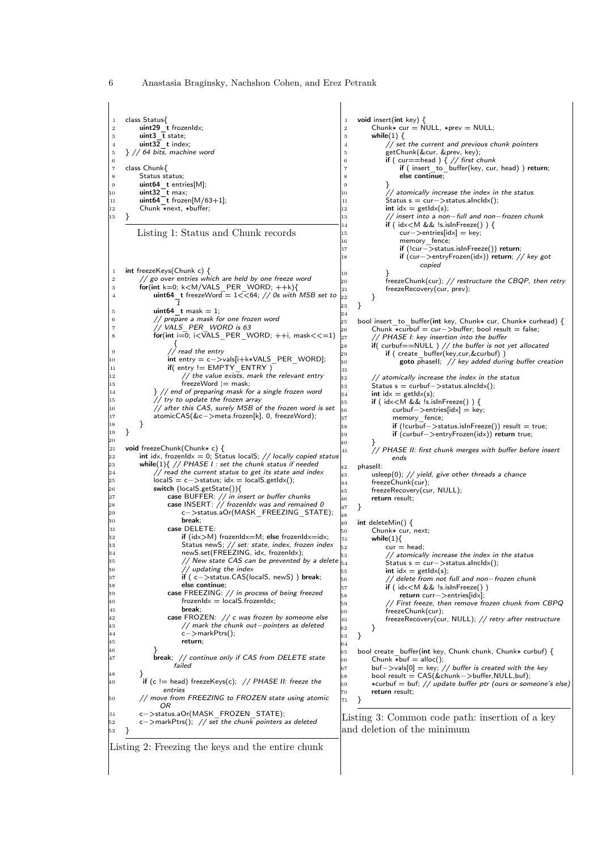```
1 class Status{
2 uint29 t frozenIdx;
 3 uint3\overline{t} state;<br>4 uint3\overline{2} t index;
5 \} // 64 bits, machine word
6
7 class Chunk{
8 Status status;<br>9 uint64 t entr
\begin{bmatrix} 9 \\ 9 \\ 10 \end{bmatrix} uint64 t entries[M];
           uint32_t max;
\begin{vmatrix} 11 & \text{uint64} \\ 1 & \text{if } 62 \\ 1 & \text{if } 63 \\ 1 & \text{if } 63 \\ 1 & \text{if } 63 \\ 1 & \text{if } 63 \\ 1 & \text{if } 63 \\ 1 & \text{if } 63 \\ 1 & \text{if } 63 \\ 1 & \text{if } 63 \\ 1 & \text{if } 63 \\ 1 & \text{if } 63 \\ 1 & \text{if } 63 \\ 1 & \text{if } 63 \\ 1 & \text{if } 63 \\ 1 & \text{if } 63 \\ 1 & \text{if } 63 \\ 1 & \text{if } 612 Chunk ∗next, ∗buffer;
\vert<sub>13</sub> }
          Listing 1: Status and Chunk records
 1 int freezeKeys(Chunk c) {<br>
2 // go over entries which are held by one freeze word<br>
3 for(int k=0; k<M/VALS_PER_WORD; ++k){<br>
4 uint64 t freezeWord = 1<<64; // 0s with MSB set to<br>
1
 5 \frac{\text{uint64}_\text{t} \text{ mask}}{\text{if} \text{name}} = 1;6 // prepare a mask for one frozen word
7 // VALS_PER_WORD is 63
 8 for(int i=\overline{0}; i<\overline{VALS} PER_WORD; ++i, mask<<=1)
                        {
 9 // read the entry
10 int entry = c−>vals[i+k∗VALS_PER_WORD];<br>
11 if( entry != EMPTY_ENTRY )
12 // the value exists, mark the relevant entry
13 freezeWord = mask;
14 } // end of preparing mask for a single frozen word
\frac{15}{16} // try to update the frozen array<br>\frac{1}{16} // after this CAS, surely MSB of
16 // after this CAS, surely MSB of the frozen word is set<br>17 atomicCAS(&c->meta.frozen[k], 0, freezeWord);
                 17 atomicCAS(&c−>meta.frozen[k], 0, freezeWord);
\begin{array}{c} 18 \ 19 \ 20 \end{array} }
21 void freezeChunk(Chunk∗ c) {<br>22 int idx, frozenIdx = 0; Status localS; // locally copied status
23 while(1){ // PHASE I : set the chunk status if needed<br>24 // read the current status to get its state and index
25 localS = c−>status; idx = localS.getIdx();<br>26 switch (localS.getState()){<br>27 case BUFFER: // in insert or buffer ch
26 switch (localS.getState()){<br>27 case BUFFER: // in insert or buffer chunks<br>28 case INSERT: // frozenIdx was and remained 0
                           29 c−>status.aOr(MASK_FREEZING_STATE);
30 break:
\begin{array}{ccc} \hspace{2.1cm}{}^{31} & \hspace{2.1cm} & \hspace{2.1cm} & \hspace{2.1cm} & \hspace{2.1cm} & \hspace{2.1cm} & \hspace{2.1cm} & \hspace{2.1cm} & \hspace{2.1cm} & \hspace{2.1cm} & \hspace{2.1cm} & \hspace{2.1cm} & \hspace{2.1cm} & \hspace{2.1cm} & \hspace{2.1cm} & \hspace{2.1cm} & \hspace{2.1cm} & \hspace{2.1cm} & \hspace{2.1cm} & \hspace{2.1cm} & \hspace{2.1cmif (idx > M) frozenIdx = M; else frozenIdx = idx;
33 Status newS; // set: state, index, frozen index
34 newS.set(FREEZING, idx, frozenIdx);
                           // New state CAS can be prevented by a delete
36 // updating the index
37 if ( c−>status.CAS(localS, newS) ) break;
38 else continue;
\frac{39}{39} case FREEZING: // in process of being freezed
40 frozenIdx = localS.frozenIdx;
\vert_{41} break;
42 case FROZEN: // c was frozen by someone else
43 // mark the chunk out−pointers as deleted
44 c−>markPtrs();
45 return:
\frac{46}{47}break; // continue only if CAS from DELETE state
                        failed
\frac{1}{4}\overrightarrow{49} if (c != head) freezeKeys(c); // PHASE II: freeze the
                    entries
_{50} // move from FREEZING to FROZEN state using atomic
                   OR
51 c−>status.aOr(MASK_FROZEN_STATE);
52 c−>markPtrs(); // set the chunk pointers as deleted
53 }
Listing 2: Freezing the keys and the entire chunk
                                                                                               void insert(int key) \{2 Chunk* cur = NULL, *prev = NULL;
                                                                                         3 while(1) \{1/ set the current and previous chunk pointers
                                                                                          5 getChunk(&cur, &prev, key);
6 if ( cur==head ) { // first chunk
                                                                                         7 if ( insert_to_buffer(key, cur, head) ) return;
                                                                                                               else continue;
                                                                                          9 }
                                                                                         \frac{1}{10} // atomically increase the index in the status
                                                                                         11 Status s = cur−>status.aIncldx();
                                                                                         \int_{12} int idx = getIdx(s);
                                                                                         13 // insert into a non−full and non−frozen chunk
                                                                                         14 if ( idx < M && !s.isInFreeze() ) {
                                                                                         15 cur−>entries[idx] = key;<br>16 memory fence:
                                                                                         16 memory_fence;
17 if (!cur−>status.isInFreeze()) return;
                                                                                                               if (cur−>entryFrozen(idx)) return; // key got
                                                                                                                       copied
                                                                                         19 }
                                                                                         20 freezeChunk(cur); // restructure the CBQP, then retry
                                                                                         21 freezeRecovery(cur, prev);
                                                                                                    \mathcal{E}\mathcal{E}\mathbf{z}_4bool insert_to_buffer(int key, Chunk* cur, Chunk* curhead) {
                                                                                                    Chunk \overline{*}cu \overline{r}buf = cur−>buffer; bool result = false;
                                                                                                     // PHASE I: key insertion into the buffer
                                                                                        28 if( curbuf==NULL ) // the buffer is not yet allocated<br>29 if ( create_buffer(key,cur,&curbuf) )<br>30 goto phaseII;  // key added during buffer creation
                                                                                         31
                                                                                        32 // atomically increase the index in the status
33 Status s = curbuf−>status.aIncIdx();
                                                                                         34 int idx = getIdx(s);<br>35 if ( idx<M && !s.isInFreeze() ) {
                                                                                         36 curbuf−>entries[idx] = key;
                                                                                         37 memory_fence;
                                                                                         38 if (!curbuf−>status.isInFreeze()) result = true;
                                                                                                            if (curbuf->entryFrozen(idx)) return true;
                                                                                         40
                                                                                         ^{41} // PHASE II: first chunk merges with buffer before insert
                                                                                                            ends
                                                                                         \vert_{42} phasell:
                                                                                         \vert_{43} usleep(0); // yield, give other threads a chance
                                                                                         \vert_{44} freezeChunk(cur);
                                                                                                    freezeRecovery(cur, NULL);
                                                                                                    return result;
                                                                                              47 }
                                                                                         las
                                                                                         49 int deleteMin() {
                                                                                         50 Chunk∗ cur, next;
                                                                                                    while(1){
                                                                                                          cur = head;// atomically increase the index in the status
                                                                                                          Status s = cur->status.alncldx();55 int idx = getIdx(s);
56 // delete from not full and non−frozen chunk
                                                                                                          \overline{if} ( \overline{idx} \leq M && \overline{!} s.isInFreeze() )
                                                                                                               return curr−>entries[idx];
                                                                                         59 // First freeze, then remove frozen chunk from CBPQ
                                                                                         60 freezeChunk(cur);
                                                                                         \frac{60}{61} freezeRecovery(cur, NULL); // retry after restructure
                                                                                         62 }<br>63 }
                                                                                         6364
                                                                                               bool create_buffer(int key, Chunk chunk, Chunk* curbuf) {
                                                                                                    Chunk \overline{*}buf = alloc();
                                                                                        67 buf−>vals[0] = key; // buffer is created with the key
68 bool result = CAS(&chunk−>buffer,NULL,buf);
                                                                                         69             ∗curbuf = buf; // ̀update buffer ptr (ours or someone's else)<br>70              return result;
                                                                                                    return result;
                                                                                              71 }
                                                                                         Listing 3: Common code path: insertion of a key
                                                                                         and deletion of the minimum
```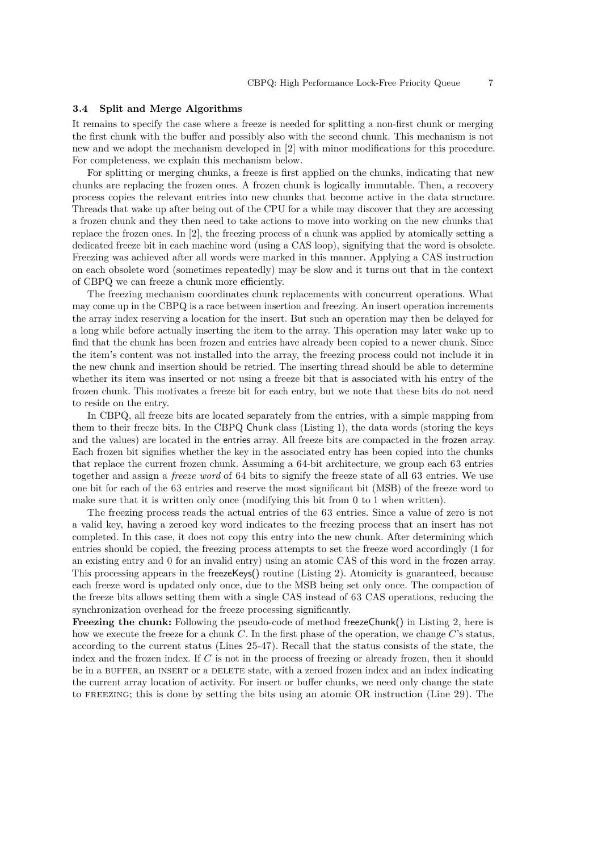#### <span id="page-6-0"></span>**3.4 Split and Merge Algorithms**

It remains to specify the case where a freeze is needed for splitting a non-first chunk or merging the first chunk with the buffer and possibly also with the second chunk. This mechanism is not new and we adopt the mechanism developed in [\[2\]](#page-13-2) with minor modifications for this procedure. For completeness, we explain this mechanism below.

For splitting or merging chunks, a freeze is first applied on the chunks, indicating that new chunks are replacing the frozen ones. A frozen chunk is logically immutable. Then, a recovery process copies the relevant entries into new chunks that become active in the data structure. Threads that wake up after being out of the CPU for a while may discover that they are accessing a frozen chunk and they then need to take actions to move into working on the new chunks that replace the frozen ones. In [\[2\]](#page-13-2), the freezing process of a chunk was applied by atomically setting a dedicated freeze bit in each machine word (using a CAS loop), signifying that the word is obsolete. Freezing was achieved after all words were marked in this manner. Applying a CAS instruction on each obsolete word (sometimes repeatedly) may be slow and it turns out that in the context of CBPQ we can freeze a chunk more efficiently.

The freezing mechanism coordinates chunk replacements with concurrent operations. What may come up in the CBPQ is a race between insertion and freezing. An insert operation increments the array index reserving a location for the insert. But such an operation may then be delayed for a long while before actually inserting the item to the array. This operation may later wake up to find that the chunk has been frozen and entries have already been copied to a newer chunk. Since the item's content was not installed into the array, the freezing process could not include it in the new chunk and insertion should be retried. The inserting thread should be able to determine whether its item was inserted or not using a freeze bit that is associated with his entry of the frozen chunk. This motivates a freeze bit for each entry, but we note that these bits do not need to reside on the entry.

In CBPQ, all freeze bits are located separately from the entries, with a simple mapping from them to their freeze bits. In the CBPQ Chunk class (Listing [1\)](#page-5-0), the data words (storing the keys and the values) are located in the entries array. All freeze bits are compacted in the frozen array. Each frozen bit signifies whether the key in the associated entry has been copied into the chunks that replace the current frozen chunk. Assuming a 64-bit architecture, we group each 63 entries together and assign a *freeze word* of 64 bits to signify the freeze state of all 63 entries. We use one bit for each of the 63 entries and reserve the most significant bit (MSB) of the freeze word to make sure that it is written only once (modifying this bit from 0 to 1 when written).

The freezing process reads the actual entries of the 63 entries. Since a value of zero is not a valid key, having a zeroed key word indicates to the freezing process that an insert has not completed. In this case, it does not copy this entry into the new chunk. After determining which entries should be copied, the freezing process attempts to set the freeze word accordingly (1 for an existing entry and 0 for an invalid entry) using an atomic CAS of this word in the frozen array. This processing appears in the freezeKeys() routine (Listing [2\)](#page-5-15). Atomicity is guaranteed, because each freeze word is updated only once, due to the MSB being set only once. The compaction of the freeze bits allows setting them with a single CAS instead of 63 CAS operations, reducing the synchronization overhead for the freeze processing significantly.

**Freezing the chunk:** Following the pseudo-code of method freezeChunk() in Listing [2,](#page-5-15) here is how we execute the freeze for a chunk *C*. In the first phase of the operation, we change *C*'s status, according to the current status (Lines [25](#page-5-16)[-47\)](#page-5-17). Recall that the status consists of the state, the index and the frozen index. If *C* is not in the process of freezing or already frozen, then it should be in a BUFFER, an INSERT or a DELETE state, with a zeroed frozen index and an index indicating the current array location of activity. For insert or buffer chunks, we need only change the state to freezing; this is done by setting the bits using an atomic OR instruction (Line [29\)](#page-5-18). The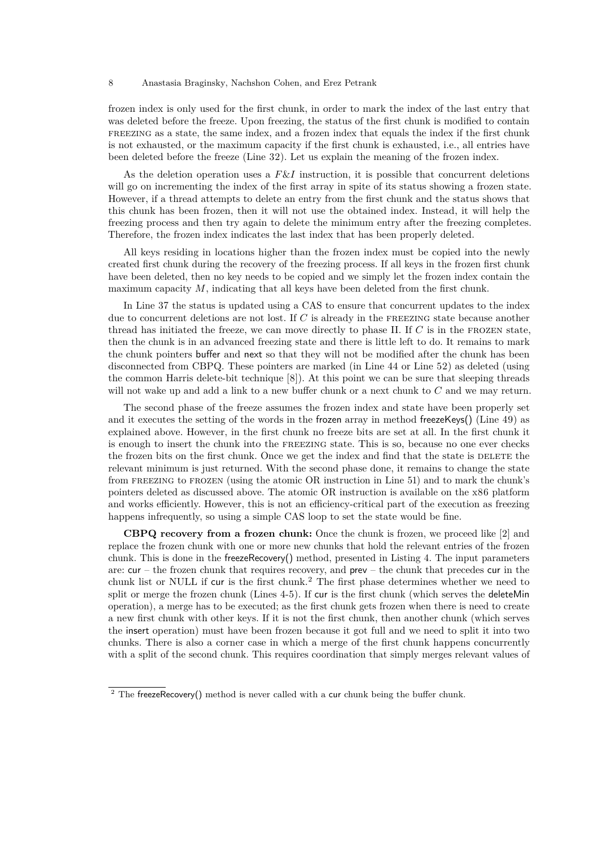frozen index is only used for the first chunk, in order to mark the index of the last entry that was deleted before the freeze. Upon freezing, the status of the first chunk is modified to contain freezing as a state, the same index, and a frozen index that equals the index if the first chunk is not exhausted, or the maximum capacity if the first chunk is exhausted, i.e., all entries have been deleted before the freeze (Line [32\)](#page-5-19). Let us explain the meaning of the frozen index.

As the deletion operation uses a *F*&*I* instruction, it is possible that concurrent deletions will go on incrementing the index of the first array in spite of its status showing a frozen state. However, if a thread attempts to delete an entry from the first chunk and the status shows that this chunk has been frozen, then it will not use the obtained index. Instead, it will help the freezing process and then try again to delete the minimum entry after the freezing completes. Therefore, the frozen index indicates the last index that has been properly deleted.

All keys residing in locations higher than the frozen index must be copied into the newly created first chunk during the recovery of the freezing process. If all keys in the frozen first chunk have been deleted, then no key needs to be copied and we simply let the frozen index contain the maximum capacity M, indicating that all keys have been deleted from the first chunk.

In Line [37](#page-5-20) the status is updated using a CAS to ensure that concurrent updates to the index due to concurrent deletions are not lost. If *C* is already in the freezing state because another thread has initiated the freeze, we can move directly to phase II. If *C* is in the frozen state, then the chunk is in an advanced freezing state and there is little left to do. It remains to mark the chunk pointers buffer and next so that they will not be modified after the chunk has been disconnected from CBPQ. These pointers are marked (in Line [44](#page-5-21) or Line [52\)](#page-5-22) as deleted (using the common Harris delete-bit technique [\[8\]](#page-13-19)). At this point we can be sure that sleeping threads will not wake up and add a link to a new buffer chunk or a next chunk to *C* and we may return.

The second phase of the freeze assumes the frozen index and state have been properly set and it executes the setting of the words in the frozen array in method freezeKeys() (Line [49\)](#page-5-23) as explained above. However, in the first chunk no freeze bits are set at all. In the first chunk it is enough to insert the chunk into the freezing state. This is so, because no one ever checks the frozen bits on the first chunk. Once we get the index and find that the state is DELETE the relevant minimum is just returned. With the second phase done, it remains to change the state from freezing to frozen (using the atomic OR instruction in Line [51\)](#page-5-24) and to mark the chunk's pointers deleted as discussed above. The atomic OR instruction is available on the x86 platform and works efficiently. However, this is not an efficiency-critical part of the execution as freezing happens infrequently, so using a simple CAS loop to set the state would be fine.

**CBPQ recovery from a frozen chunk:** Once the chunk is frozen, we proceed like [\[2\]](#page-13-2) and replace the frozen chunk with one or more new chunks that hold the relevant entries of the frozen chunk. This is done in the freezeRecovery() method, presented in Listing [4.](#page-9-0) The input parameters are: cur – the frozen chunk that requires recovery, and prev – the chunk that precedes cur in the chunk list or NULL if cur is the first chunk.[2](#page-7-0) The first phase determines whether we need to split or merge the frozen chunk (Lines [4](#page-9-1)[-5\)](#page-9-2). If cur is the first chunk (which serves the deleteMin operation), a merge has to be executed; as the first chunk gets frozen when there is need to create a new first chunk with other keys. If it is not the first chunk, then another chunk (which serves the insert operation) must have been frozen because it got full and we need to split it into two chunks. There is also a corner case in which a merge of the first chunk happens concurrently with a split of the second chunk. This requires coordination that simply merges relevant values of

<span id="page-7-0"></span> $\frac{2}{2}$  The freezeRecovery() method is never called with a cur chunk being the buffer chunk.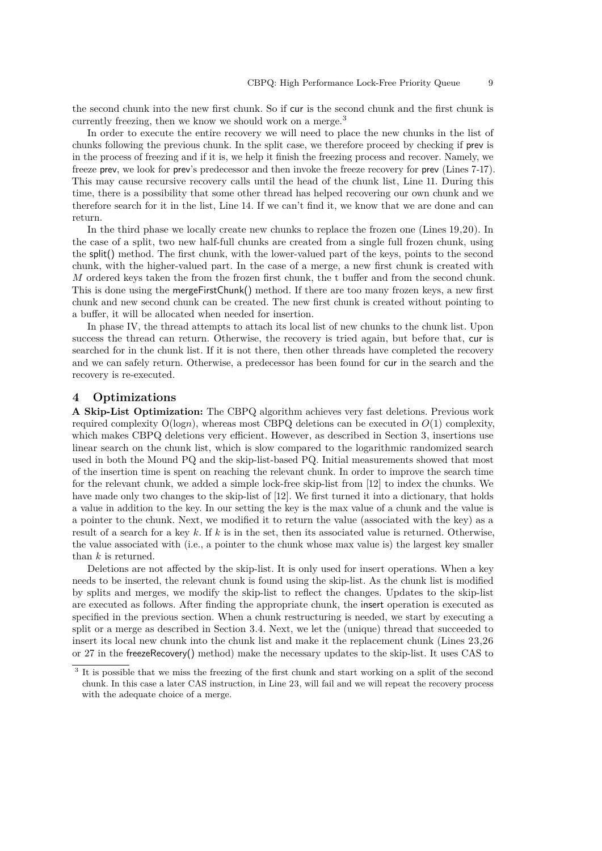the second chunk into the new first chunk. So if cur is the second chunk and the first chunk is currently freezing, then we know we should work on a merge.<sup>[3](#page-8-1)</sup>

In order to execute the entire recovery we will need to place the new chunks in the list of chunks following the previous chunk. In the split case, we therefore proceed by checking if prev is in the process of freezing and if it is, we help it finish the freezing process and recover. Namely, we freeze prev, we look for prev's predecessor and then invoke the freeze recovery for prev (Lines [7](#page-9-3)[-17\)](#page-9-4). This may cause recursive recovery calls until the head of the chunk list, Line [11.](#page-9-5) During this time, there is a possibility that some other thread has helped recovering our own chunk and we therefore search for it in the list, Line [14.](#page-9-6) If we can't find it, we know that we are done and can return.

In the third phase we locally create new chunks to replace the frozen one (Lines [19,](#page-9-7)[20\)](#page-9-8). In the case of a split, two new half-full chunks are created from a single full frozen chunk, using the split() method. The first chunk, with the lower-valued part of the keys, points to the second chunk, with the higher-valued part. In the case of a merge, a new first chunk is created with *M* ordered keys taken the from the frozen first chunk, the t buffer and from the second chunk. This is done using the mergeFirstChunk() method. If there are too many frozen keys, a new first chunk and new second chunk can be created. The new first chunk is created without pointing to a buffer, it will be allocated when needed for insertion.

In phase IV, the thread attempts to attach its local list of new chunks to the chunk list. Upon success the thread can return. Otherwise, the recovery is tried again, but before that, cur is searched for in the chunk list. If it is not there, then other threads have completed the recovery and we can safely return. Otherwise, a predecessor has been found for cur in the search and the recovery is re-executed.

## <span id="page-8-0"></span>**4 Optimizations**

**A Skip-List Optimization:** The CBPQ algorithm achieves very fast deletions. Previous work required complexity  $O(logn)$ , whereas most CBPQ deletions can be executed in  $O(1)$  complexity, which makes CBPQ deletions very efficient. However, as described in Section [3,](#page-3-0) insertions use linear search on the chunk list, which is slow compared to the logarithmic randomized search used in both the Mound PQ and the skip-list-based PQ. Initial measurements showed that most of the insertion time is spent on reaching the relevant chunk. In order to improve the search time for the relevant chunk, we added a simple lock-free skip-list from [\[12\]](#page-13-1) to index the chunks. We have made only two changes to the skip-list of [\[12\]](#page-13-1). We first turned it into a dictionary, that holds a value in addition to the key. In our setting the key is the max value of a chunk and the value is a pointer to the chunk. Next, we modified it to return the value (associated with the key) as a result of a search for a key *k*. If *k* is in the set, then its associated value is returned. Otherwise, the value associated with (i.e., a pointer to the chunk whose max value is) the largest key smaller than *k* is returned.

Deletions are not affected by the skip-list. It is only used for insert operations. When a key needs to be inserted, the relevant chunk is found using the skip-list. As the chunk list is modified by splits and merges, we modify the skip-list to reflect the changes. Updates to the skip-list are executed as follows. After finding the appropriate chunk, the insert operation is executed as specified in the previous section. When a chunk restructuring is needed, we start by executing a split or a merge as described in Section [3.4.](#page-6-0) Next, we let the (unique) thread that succeeded to insert its local new chunk into the chunk list and make it the replacement chunk (Lines [23](#page-9-9)[,26](#page-9-10) or [27](#page-9-11) in the freezeRecovery() method) make the necessary updates to the skip-list. It uses CAS to

<span id="page-8-1"></span><sup>&</sup>lt;sup>3</sup> It is possible that we miss the freezing of the first chunk and start working on a split of the second chunk. In this case a later CAS instruction, in Line [23,](#page-9-9) will fail and we will repeat the recovery process with the adequate choice of a merge.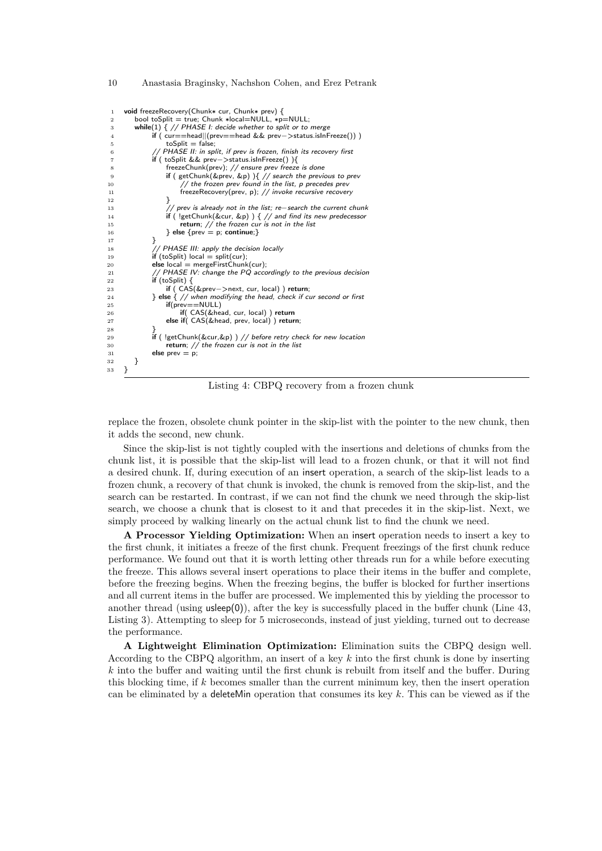<span id="page-9-6"></span><span id="page-9-5"></span><span id="page-9-4"></span><span id="page-9-3"></span><span id="page-9-2"></span><span id="page-9-1"></span><span id="page-9-0"></span>

|                     | <b>void</b> freezeRecovery(Chunk* cur, Chunk* prev) {                                                                      |
|---------------------|----------------------------------------------------------------------------------------------------------------------------|
| 1                   | bool toSplit = true; Chunk *local=NULL, *p=NULL;                                                                           |
| $\overline{2}$      |                                                                                                                            |
| 3                   | while(1) $\{$ // PHASE I: decide whether to split or to merge<br>if (cur==head  (prev==head && prev->status.isInFreeze())) |
| 4                   | $toSplit = false$                                                                                                          |
| 5                   | // PHASE II: in split, if prev is frozen, finish its recovery first                                                        |
| 6<br>$\overline{7}$ | if ( toSplit && prev->status.isInFreeze() ){                                                                               |
| 8                   | freezeChunk(prev); // ensure prev freeze is done                                                                           |
| 9                   | if (getChunk(&prev, &p) ) { // search the previous to prev                                                                 |
| 10                  | // the frozen prev found in the list, p precedes prev                                                                      |
| 11                  | freezeRecovery(prev, p); // invoke recursive recovery                                                                      |
| 12                  | ł                                                                                                                          |
| 13                  | // prev is already not in the list; re-search the current chunk                                                            |
| 14                  | if ( !getChunk(&cur, &p) ) $\}$ // and find its new predecessor                                                            |
| 15                  | return; $//$ the frozen cur is not in the list                                                                             |
| 16                  | } else $\{prev = p;$ continue;}                                                                                            |
| 17                  | ł                                                                                                                          |
| 18                  | // PHASE III: apply the decision locally                                                                                   |
| 19                  | if (toSplit) local = split(cur);                                                                                           |
| 20                  | else $local = mergeFirstChunk(cur);$                                                                                       |
| 21                  | // PHASE IV: change the PQ accordingly to the previous decision                                                            |
| 22                  | if (toSplit) $\{$                                                                                                          |
| 23                  | if $( CAS(\&prev->next, cur, local))$ return;                                                                              |
| 24                  | } else $\{$ // when modifying the head, check if cur second or first                                                       |
| 25                  | $if(\text{prev} == \text{NULL})$                                                                                           |
| 26                  | if( CAS(&head, cur, local) ) return                                                                                        |
| 27                  | else if (CAS(&head, prev, local)) return;                                                                                  |
| 28                  | ł                                                                                                                          |
| 29                  | if ( $!getChunk(\&cur,\&p)$ ) // before retry check for new location                                                       |
| 30                  | return; $//$ the frozen cur is not in the list                                                                             |
| 31                  | else prev $= p$ ;                                                                                                          |
| 32                  | }                                                                                                                          |
| 33                  | ł                                                                                                                          |

<span id="page-9-9"></span><span id="page-9-8"></span><span id="page-9-7"></span>Listing 4: CBPQ recovery from a frozen chunk

<span id="page-9-11"></span><span id="page-9-10"></span>replace the frozen, obsolete chunk pointer in the skip-list with the pointer to the new chunk, then it adds the second, new chunk.

Since the skip-list is not tightly coupled with the insertions and deletions of chunks from the chunk list, it is possible that the skip-list will lead to a frozen chunk, or that it will not find a desired chunk. If, during execution of an insert operation, a search of the skip-list leads to a frozen chunk, a recovery of that chunk is invoked, the chunk is removed from the skip-list, and the search can be restarted. In contrast, if we can not find the chunk we need through the skip-list search, we choose a chunk that is closest to it and that precedes it in the skip-list. Next, we simply proceed by walking linearly on the actual chunk list to find the chunk we need.

**A Processor Yielding Optimization:** When an insert operation needs to insert a key to the first chunk, it initiates a freeze of the first chunk. Frequent freezings of the first chunk reduce performance. We found out that it is worth letting other threads run for a while before executing the freeze. This allows several insert operations to place their items in the buffer and complete, before the freezing begins. When the freezing begins, the buffer is blocked for further insertions and all current items in the buffer are processed. We implemented this by yielding the processor to another thread (using  $\text{usleep}(0)$ ), after the key is successfully placed in the buffer chunk (Line [43,](#page-5-13) Listing [3\)](#page-5-1). Attempting to sleep for 5 microseconds, instead of just yielding, turned out to decrease the performance.

**A Lightweight Elimination Optimization:** Elimination suits the CBPQ design well. According to the CBPQ algorithm, an insert of a key *k* into the first chunk is done by inserting *k* into the buffer and waiting until the first chunk is rebuilt from itself and the buffer. During this blocking time, if *k* becomes smaller than the current minimum key, then the insert operation can be eliminated by a deleteMin operation that consumes its key *k*. This can be viewed as if the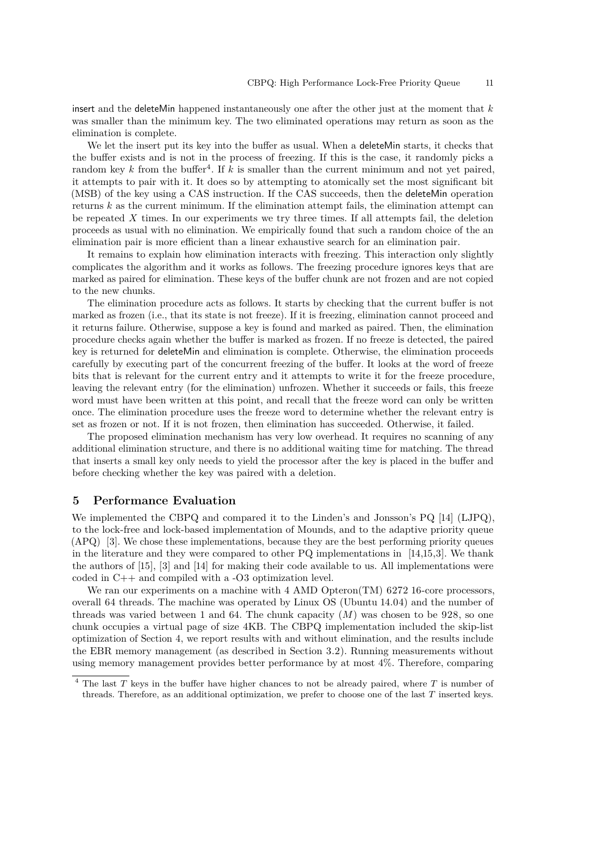insert and the deleteMin happened instantaneously one after the other just at the moment that *k* was smaller than the minimum key. The two eliminated operations may return as soon as the elimination is complete.

We let the insert put its key into the buffer as usual. When a deleteMin starts, it checks that the buffer exists and is not in the process of freezing. If this is the case, it randomly picks a random key  $k$  from the buffer<sup>[4](#page-10-0)</sup>. If  $k$  is smaller than the current minimum and not yet paired, it attempts to pair with it. It does so by attempting to atomically set the most significant bit (MSB) of the key using a CAS instruction. If the CAS succeeds, then the deleteMin operation returns *k* as the current minimum. If the elimination attempt fails, the elimination attempt can be repeated *X* times. In our experiments we try three times. If all attempts fail, the deletion proceeds as usual with no elimination. We empirically found that such a random choice of the an elimination pair is more efficient than a linear exhaustive search for an elimination pair.

It remains to explain how elimination interacts with freezing. This interaction only slightly complicates the algorithm and it works as follows. The freezing procedure ignores keys that are marked as paired for elimination. These keys of the buffer chunk are not frozen and are not copied to the new chunks.

The elimination procedure acts as follows. It starts by checking that the current buffer is not marked as frozen (i.e., that its state is not freeze). If it is freezing, elimination cannot proceed and it returns failure. Otherwise, suppose a key is found and marked as paired. Then, the elimination procedure checks again whether the buffer is marked as frozen. If no freeze is detected, the paired key is returned for deleteMin and elimination is complete. Otherwise, the elimination proceeds carefully by executing part of the concurrent freezing of the buffer. It looks at the word of freeze bits that is relevant for the current entry and it attempts to write it for the freeze procedure, leaving the relevant entry (for the elimination) unfrozen. Whether it succeeds or fails, this freeze word must have been written at this point, and recall that the freeze word can only be written once. The elimination procedure uses the freeze word to determine whether the relevant entry is set as frozen or not. If it is not frozen, then elimination has succeeded. Otherwise, it failed.

The proposed elimination mechanism has very low overhead. It requires no scanning of any additional elimination structure, and there is no additional waiting time for matching. The thread that inserts a small key only needs to yield the processor after the key is placed in the buffer and before checking whether the key was paired with a deletion.

### **5 Performance Evaluation**

We implemented the CBPQ and compared it to the Linden's and Jonsson's PQ [\[14\]](#page-13-5) (LJPQ), to the lock-free and lock-based implementation of Mounds, and to the adaptive priority queue (APQ) [\[3\]](#page-13-14). We chose these implementations, because they are the best performing priority queues in the literature and they were compared to other PQ implementations in [\[14,](#page-13-5)[15](#page-13-13)[,3\]](#page-13-14). We thank the authors of [\[15\]](#page-13-13), [\[3\]](#page-13-14) and [\[14\]](#page-13-5) for making their code available to us. All implementations were coded in C++ and compiled with a -O3 optimization level.

We ran our experiments on a machine with 4 AMD Opteron(TM) 6272 16-core processors, overall 64 threads. The machine was operated by Linux OS (Ubuntu 14.04) and the number of threads was varied between 1 and 64. The chunk capacity (*M*) was chosen to be 928, so one chunk occupies a virtual page of size 4KB. The CBPQ implementation included the skip-list optimization of Section [4,](#page-8-0) we report results with and without elimination, and the results include the EBR memory management (as described in Section [3.2\)](#page-3-1). Running measurements without using memory management provides better performance by at most 4%. Therefore, comparing

<span id="page-10-0"></span><sup>4</sup> The last *T* keys in the buffer have higher chances to not be already paired, where *T* is number of threads. Therefore, as an additional optimization, we prefer to choose one of the last *T* inserted keys.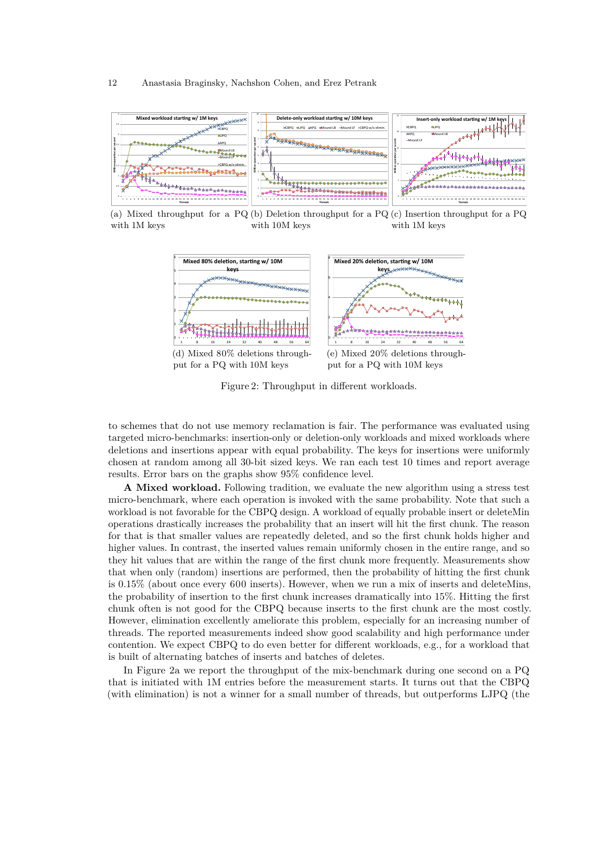<span id="page-11-0"></span>

(a) Mixed throughput for a  $PQ$  (b) Deletion throughput for a  $PQ$  (c) Insertion throughput for a  $PQ$ with 1M keys with 10M keys with 1M keys

<span id="page-11-4"></span><span id="page-11-3"></span>

<span id="page-11-2"></span><span id="page-11-1"></span>Figure 2: Throughput in different workloads.

to schemes that do not use memory reclamation is fair. The performance was evaluated using targeted micro-benchmarks: insertion-only or deletion-only workloads and mixed workloads where deletions and insertions appear with equal probability. The keys for insertions were uniformly chosen at random among all 30-bit sized keys. We ran each test 10 times and report average results. Error bars on the graphs show 95% confidence level.

**A Mixed workload.** Following tradition, we evaluate the new algorithm using a stress test micro-benchmark, where each operation is invoked with the same probability. Note that such a workload is not favorable for the CBPQ design. A workload of equally probable insert or deleteMin operations drastically increases the probability that an insert will hit the first chunk. The reason for that is that smaller values are repeatedly deleted, and so the first chunk holds higher and higher values. In contrast, the inserted values remain uniformly chosen in the entire range, and so they hit values that are within the range of the first chunk more frequently. Measurements show that when only (random) insertions are performed, then the probability of hitting the first chunk is 0*.*15% (about once every 600 inserts). However, when we run a mix of inserts and deleteMins, the probability of insertion to the first chunk increases dramatically into 15%. Hitting the first chunk often is not good for the CBPQ because inserts to the first chunk are the most costly. However, elimination excellently ameliorate this problem, especially for an increasing number of threads. The reported measurements indeed show good scalability and high performance under contention. We expect CBPQ to do even better for different workloads, e.g., for a workload that is built of alternating batches of inserts and batches of deletes.

In Figure [2a](#page-11-0) we report the throughput of the mix-benchmark during one second on a PQ that is initiated with 1M entries before the measurement starts. It turns out that the CBPQ (with elimination) is not a winner for a small number of threads, but outperforms LJPQ (the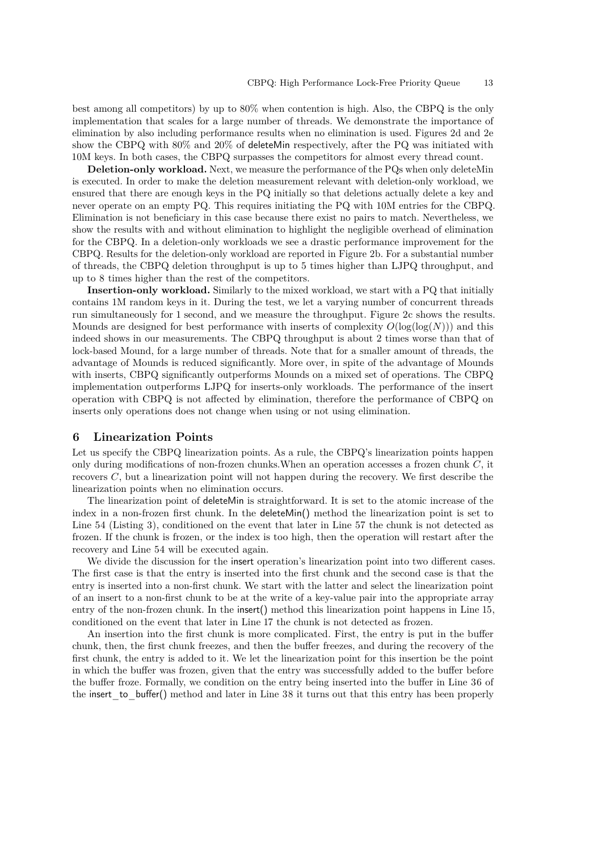best among all competitors) by up to 80% when contention is high. Also, the CBPQ is the only implementation that scales for a large number of threads. We demonstrate the importance of elimination by also including performance results when no elimination is used. Figures [2d](#page-11-1) and [2e](#page-11-2) show the CBPQ with 80% and 20% of deleteMin respectively, after the PQ was initiated with 10M keys. In both cases, the CBPQ surpasses the competitors for almost every thread count.

**Deletion-only workload.** Next, we measure the performance of the PQs when only deleteMin is executed. In order to make the deletion measurement relevant with deletion-only workload, we ensured that there are enough keys in the PQ initially so that deletions actually delete a key and never operate on an empty PQ. This requires initiating the PQ with 10M entries for the CBPQ. Elimination is not beneficiary in this case because there exist no pairs to match. Nevertheless, we show the results with and without elimination to highlight the negligible overhead of elimination for the CBPQ. In a deletion-only workloads we see a drastic performance improvement for the CBPQ. Results for the deletion-only workload are reported in Figure [2b.](#page-11-3) For a substantial number of threads, the CBPQ deletion throughput is up to 5 times higher than LJPQ throughput, and up to 8 times higher than the rest of the competitors.

**Insertion-only workload.** Similarly to the mixed workload, we start with a PQ that initially contains 1M random keys in it. During the test, we let a varying number of concurrent threads run simultaneously for 1 second, and we measure the throughput. Figure [2c](#page-11-4) shows the results. Mounds are designed for best performance with inserts of complexity  $O(\log(\log(N)))$  and this indeed shows in our measurements. The CBPQ throughput is about 2 times worse than that of lock-based Mound, for a large number of threads. Note that for a smaller amount of threads, the advantage of Mounds is reduced significantly. More over, in spite of the advantage of Mounds with inserts, CBPQ significantly outperforms Mounds on a mixed set of operations. The CBPQ implementation outperforms LJPQ for inserts-only workloads. The performance of the insert operation with CBPQ is not affected by elimination, therefore the performance of CBPQ on inserts only operations does not change when using or not using elimination.

### **6 Linearization Points**

Let us specify the CBPQ linearization points. As a rule, the CBPQ's linearization points happen only during modifications of non-frozen chunks.When an operation accesses a frozen chunk *C*, it recovers *C*, but a linearization point will not happen during the recovery. We first describe the linearization points when no elimination occurs.

The linearization point of deleteMin is straightforward. It is set to the atomic increase of the index in a non-frozen first chunk. In the deleteMin() method the linearization point is set to Line [54](#page-5-25) (Listing [3\)](#page-5-1), conditioned on the event that later in Line [57](#page-5-26) the chunk is not detected as frozen. If the chunk is frozen, or the index is too high, then the operation will restart after the recovery and Line [54](#page-5-25) will be executed again.

We divide the discussion for the insert operation's linearization point into two different cases. The first case is that the entry is inserted into the first chunk and the second case is that the entry is inserted into a non-first chunk. We start with the latter and select the linearization point of an insert to a non-first chunk to be at the write of a key-value pair into the appropriate array entry of the non-frozen chunk. In the insert() method this linearization point happens in Line [15,](#page-5-27) conditioned on the event that later in Line [17](#page-5-7) the chunk is not detected as frozen.

An insertion into the first chunk is more complicated. First, the entry is put in the buffer chunk, then, the first chunk freezes, and then the buffer freezes, and during the recovery of the first chunk, the entry is added to it. We let the linearization point for this insertion be the point in which the buffer was frozen, given that the entry was successfully added to the buffer before the buffer froze. Formally, we condition on the entry being inserted into the buffer in Line [36](#page-5-28) of the insert to buffer() method and later in Line [38](#page-5-29) it turns out that this entry has been properly